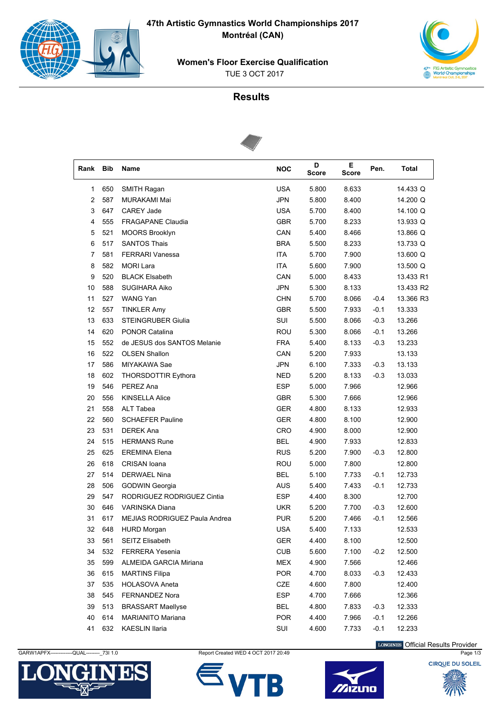$\left(\begin{smallmatrix} 1 & 0 \\ 0 & 0 \end{smallmatrix}\right)$ 

47th Artistic Gymnastics World Championships 2017 Montréal (CAN)



**Women's Floor Exercise Qualification TUE 3 OCT 2017** 

## **Results**



| Rank | Bib | Name                                 | <b>NOC</b> | D<br><b>Score</b> | E<br><b>Score</b> | Pen.   | Total     |
|------|-----|--------------------------------------|------------|-------------------|-------------------|--------|-----------|
| 1    | 650 | SMITH Ragan                          | <b>USA</b> | 5.800             | 8.633             |        | 14.433 Q  |
| 2    | 587 | <b>MURAKAMI Mai</b>                  | <b>JPN</b> | 5.800             | 8.400             |        | 14.200 Q  |
| 3    | 647 | <b>CAREY Jade</b>                    | <b>USA</b> | 5.700             | 8.400             |        | 14.100 Q  |
| 4    | 555 | <b>FRAGAPANE Claudia</b>             | <b>GBR</b> | 5.700             | 8.233             |        | 13.933 Q  |
| 5    | 521 | <b>MOORS Brooklyn</b>                | CAN        | 5.400             | 8.466             |        | 13.866 Q  |
| 6    | 517 | <b>SANTOS Thais</b>                  | <b>BRA</b> | 5.500             | 8.233             |        | 13.733 Q  |
| 7    | 581 | <b>FERRARI Vanessa</b>               | <b>ITA</b> | 5.700             | 7.900             |        | 13.600 Q  |
| 8    | 582 | <b>MORI Lara</b>                     | <b>ITA</b> | 5.600             | 7.900             |        | 13.500 Q  |
| 9    | 520 | <b>BLACK Elsabeth</b>                | CAN        | 5.000             | 8.433             |        | 13.433 R1 |
| 10   | 588 | <b>SUGIHARA Aiko</b>                 | <b>JPN</b> | 5.300             | 8.133             |        | 13.433 R2 |
| 11   | 527 | WANG Yan                             | <b>CHN</b> | 5.700             | 8.066             | $-0.4$ | 13.366 R3 |
| 12   | 557 | <b>TINKLER Amy</b>                   | <b>GBR</b> | 5.500             | 7.933             | $-0.1$ | 13.333    |
| 13   | 633 | <b>STEINGRUBER Giulia</b>            | SUI        | 5.500             | 8.066             | $-0.3$ | 13.266    |
| 14   | 620 | <b>PONOR Catalina</b>                | ROU        | 5.300             | 8.066             | $-0.1$ | 13.266    |
| 15   | 552 | de JESUS dos SANTOS Melanie          | <b>FRA</b> | 5.400             | 8.133             | $-0.3$ | 13.233    |
| 16   | 522 | <b>OLSEN Shallon</b>                 | CAN        | 5.200             | 7.933             |        | 13.133    |
| 17   | 586 | MIYAKAWA Sae                         | <b>JPN</b> | 6.100             | 7.333             | $-0.3$ | 13.133    |
| 18   | 602 | <b>THORSDOTTIR Eythora</b>           | <b>NED</b> | 5.200             | 8.133             | $-0.3$ | 13.033    |
| 19   | 546 | PEREZ Ana                            | <b>ESP</b> | 5.000             | 7.966             |        | 12.966    |
| 20   | 556 | <b>KINSELLA Alice</b>                | <b>GBR</b> | 5.300             | 7.666             |        | 12.966    |
| 21   | 558 | ALT Tabea                            | <b>GER</b> | 4.800             | 8.133             |        | 12.933    |
| 22   | 560 | <b>SCHAEFER Pauline</b>              | <b>GER</b> | 4.800             | 8.100             |        | 12.900    |
| 23   | 531 | <b>DEREK Ana</b>                     | CRO        | 4.900             | 8.000             |        | 12.900    |
| 24   | 515 | <b>HERMANS Rune</b>                  | <b>BEL</b> | 4.900             | 7.933             |        | 12.833    |
| 25   | 625 | <b>EREMINA Elena</b>                 | <b>RUS</b> | 5.200             | 7.900             | $-0.3$ | 12.800    |
| 26   | 618 | CRISAN Ioana                         | ROU        | 5.000             | 7.800             |        | 12.800    |
| 27   | 514 | <b>DERWAEL Nina</b>                  | <b>BEL</b> | 5.100             | 7.733             | $-0.1$ | 12.733    |
| 28   | 506 | GODWIN Georgia                       | <b>AUS</b> | 5.400             | 7.433             | $-0.1$ | 12.733    |
| 29   | 547 | RODRIGUEZ RODRIGUEZ Cintia           | <b>ESP</b> | 4.400             | 8.300             |        | 12.700    |
| 30   | 646 | <b>VARINSKA Diana</b>                | <b>UKR</b> | 5.200             | 7.700             | $-0.3$ | 12.600    |
| 31   | 617 | <b>MEJIAS RODRIGUEZ Paula Andrea</b> | <b>PUR</b> | 5.200             | 7.466             | $-0.1$ | 12.566    |
| 32   | 648 | <b>HURD Morgan</b>                   | <b>USA</b> | 5.400             | 7.133             |        | 12.533    |
| 33   | 561 | SEITZ Elisabeth                      | GER        | 4.400             | 8.100             |        | 12.500    |
| 34   | 532 | <b>FERRERA Yesenia</b>               | <b>CUB</b> | 5.600             | 7.100             | $-0.2$ | 12.500    |
| 35   | 599 | ALMEIDA GARCIA Miriana               | <b>MEX</b> | 4.900             | 7.566             |        | 12.466    |
| 36   | 615 | <b>MARTINS Filipa</b>                | <b>POR</b> | 4.700             | 8.033             | $-0.3$ | 12.433    |
| 37   | 535 | <b>HOLASOVA Aneta</b>                | CZE        | 4.600             | 7.800             |        | 12.400    |
| 38   | 545 | FERNANDEZ Nora                       | <b>ESP</b> | 4.700             | 7.666             |        | 12.366    |
| 39   | 513 | <b>BRASSART Maellyse</b>             | BEL        | 4.800             | 7.833             | $-0.3$ | 12.333    |
| 40   | 614 | <b>MARIANITO Mariana</b>             | <b>POR</b> | 4.400             | 7.966             | $-0.1$ | 12.266    |
| 41   | 632 | <b>KAESLIN Ilaria</b>                | SUI        | 4.600             | 7.733             | $-0.1$ | 12.233    |

GARW1APFX--QUAL- $-27311.0$ 



Report Created WED 4 OCT 2017 20:49





LONGINES Official Results Provider Page 1/3

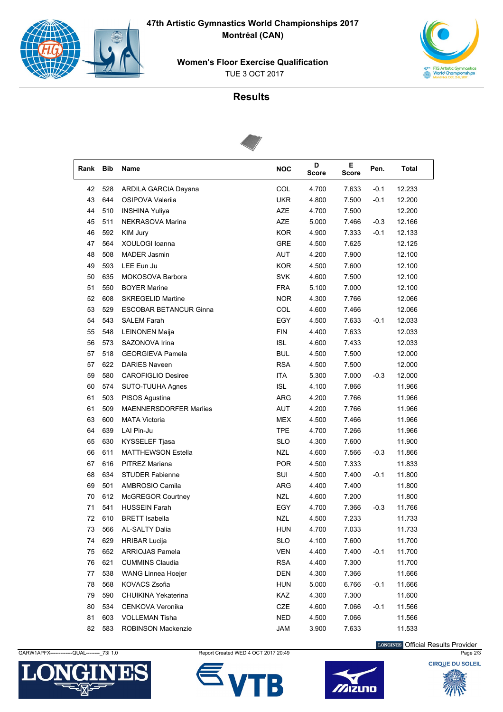**47th Artistic Gymnastics World Championships 2017 Montréal (CAN)**



 TUE 3 OCT 2017 **Women's Floor Exercise Qualification**



## **Results**



| Rank | Bib | Name                          | <b>NOC</b> | D<br><b>Score</b> | Е<br>Score | Pen.   | Total  |
|------|-----|-------------------------------|------------|-------------------|------------|--------|--------|
| 42   | 528 | ARDILA GARCIA Dayana          | COL        | 4.700             | 7.633      | $-0.1$ | 12.233 |
| 43   | 644 | OSIPOVA Valerija              | <b>UKR</b> | 4.800             | 7.500      | $-0.1$ | 12.200 |
| 44   | 510 | <b>INSHINA Yuliya</b>         | AZE        | 4.700             | 7.500      |        | 12.200 |
| 45   | 511 | NEKRASOVA Marina              | <b>AZE</b> | 5.000             | 7.466      | $-0.3$ | 12.166 |
| 46   | 592 | KIM Jury                      | <b>KOR</b> | 4.900             | 7.333      | $-0.1$ | 12.133 |
| 47   | 564 | XOULOGI Ioanna                | <b>GRE</b> | 4.500             | 7.625      |        | 12.125 |
| 48   | 508 | <b>MADER Jasmin</b>           | AUT        | 4.200             | 7.900      |        | 12.100 |
| 49   | 593 | LEE Eun Ju                    | <b>KOR</b> | 4.500             | 7.600      |        | 12.100 |
| 50   | 635 | MOKOSOVA Barbora              | <b>SVK</b> | 4.600             | 7.500      |        | 12.100 |
| 51   | 550 | <b>BOYER Marine</b>           | <b>FRA</b> | 5.100             | 7.000      |        | 12.100 |
| 52   | 608 | <b>SKREGELID Martine</b>      | <b>NOR</b> | 4.300             | 7.766      |        | 12.066 |
| 53   | 529 | <b>ESCOBAR BETANCUR Ginna</b> | COL        | 4.600             | 7.466      |        | 12.066 |
| 54   | 543 | <b>SALEM Farah</b>            | EGY        | 4.500             | 7.633      | $-0.1$ | 12.033 |
| 55   | 548 | <b>LEINONEN Maija</b>         | <b>FIN</b> | 4.400             | 7.633      |        | 12.033 |
| 56   | 573 | SAZONOVA Irina                | <b>ISL</b> | 4.600             | 7.433      |        | 12.033 |
| 57   | 518 | <b>GEORGIEVA Pamela</b>       | <b>BUL</b> | 4.500             | 7.500      |        | 12.000 |
| 57   | 622 | <b>DARIES Naveen</b>          | <b>RSA</b> | 4.500             | 7.500      |        | 12.000 |
| 59   | 580 | <b>CAROFIGLIO Desiree</b>     | <b>ITA</b> | 5.300             | 7.000      | $-0.3$ | 12.000 |
| 60   | 574 | SUTO-TUUHA Agnes              | <b>ISL</b> | 4.100             | 7.866      |        | 11.966 |
| 61   | 503 | PISOS Agustina                | <b>ARG</b> | 4.200             | 7.766      |        | 11.966 |
| 61   | 509 | <b>MAENNERSDORFER Marlies</b> | AUT        | 4.200             | 7.766      |        | 11.966 |
| 63   | 600 | <b>MATA Victoria</b>          | <b>MEX</b> | 4.500             | 7.466      |        | 11.966 |
| 64   | 639 | LAI Pin-Ju                    | <b>TPE</b> | 4.700             | 7.266      |        | 11.966 |
| 65   | 630 | KYSSELEF Tjasa                | <b>SLO</b> | 4.300             | 7.600      |        | 11.900 |
| 66   | 611 | <b>MATTHEWSON Estella</b>     | <b>NZL</b> | 4.600             | 7.566      | $-0.3$ | 11.866 |
| 67   | 616 | PITREZ Mariana                | <b>POR</b> | 4.500             | 7.333      |        | 11.833 |
| 68   | 634 | <b>STUDER Fabienne</b>        | SUI        | 4.500             | 7.400      | $-0.1$ | 11.800 |
| 69   | 501 | AMBROSIO Camila               | <b>ARG</b> | 4.400             | 7.400      |        | 11.800 |
| 70   | 612 | McGREGOR Courtney             | <b>NZL</b> | 4.600             | 7.200      |        | 11.800 |
| 71   | 541 | <b>HUSSEIN Farah</b>          | EGY        | 4.700             | 7.366      | $-0.3$ | 11.766 |
| 72   | 610 | <b>BRETT</b> Isabella         | <b>NZL</b> | 4.500             | 7.233      |        | 11.733 |
| 73   | 566 | <b>AL-SALTY Dalia</b>         | <b>HUN</b> | 4.700             | 7.033      |        | 11.733 |
| 74   | 629 | <b>HRIBAR Lucija</b>          | <b>SLO</b> | 4.100             | 7.600      |        | 11.700 |
| 75   | 652 | <b>ARRIOJAS Pamela</b>        | <b>VEN</b> | 4.400             | 7.400      | $-0.1$ | 11.700 |
| 76   | 621 | <b>CUMMINS Claudia</b>        | <b>RSA</b> | 4.400             | 7.300      |        | 11.700 |
| 77   | 538 | <b>WANG Linnea Hoejer</b>     | <b>DEN</b> | 4.300             | 7.366      |        | 11.666 |
| 78   | 568 | KOVACS Zsofia                 | <b>HUN</b> | 5.000             | 6.766      | $-0.1$ | 11.666 |
| 79   | 590 | CHUIKINA Yekaterina           | KAZ        | 4.300             | 7.300      |        | 11.600 |
| 80   | 534 | CENKOVA Veronika              | CZE        | 4.600             | 7.066      | $-0.1$ | 11.566 |
| 81   | 603 | <b>VOLLEMAN Tisha</b>         | <b>NED</b> | 4.500             | 7.066      |        | 11.566 |
| 82   | 583 | ROBINSON Mackenzie            | <b>JAM</b> | 3.900             | 7.633      |        | 11.533 |



GARW1APFX------------QUAL---------\_73I 1.0 Report Created WED 4 OCT 2017 20:49 Page 2/3





LONGINES Official Results Provider

**CIROUE DU SOLEIL**